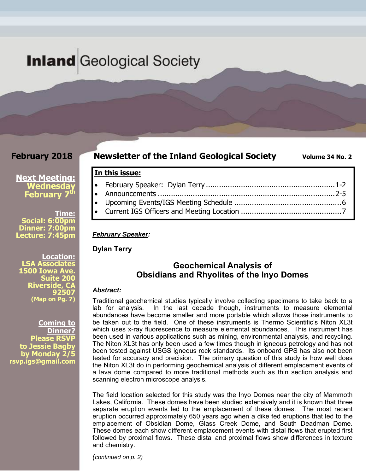## **Inland** Geological Society

#### **February 2018**

#### **Newsletter of the Inland Geological Society** Volume 34 No. 2

#### **Next Meeting: Wednesday February 7<sup>t</sup>**

**Time: Social: 6:00pm Dinner: 7:00pm Lecture: 7:45pm** 

**Location: LSA Associates 1500 Iowa Ave. Suite 200 Riverside, CA 92507 (Map on Pg. 7)**

**Coming to Dinner? Please RSVP to Jessie Bagby by Monday 2/5 rsvp.igs@gmail.com** 

#### February Speaker: Dylan Terry ........................................................... 1-2 Announcements ................................................................................. 2-5 Upcoming Events/IGS Meeting Schedule ................................................. 6 Current IGS Officers and Meeting Location .............................................. 7

#### *February Speaker:*

**In this issue:** 

**Dylan Terry** 

#### **Geochemical Analysis of Obsidians and Rhyolites of the Inyo Domes**

#### *Abstract:*

Traditional geochemical studies typically involve collecting specimens to take back to a lab for analysis. In the last decade though, instruments to measure elemental abundances have become smaller and more portable which allows those instruments to be taken out to the field. One of these instruments is Thermo Scientific's Niton XL3t which uses x-ray fluorescence to measure elemental abundances. This instrument has been used in various applications such as mining, environmental analysis, and recycling. The Niton XL3t has only been used a few times though in igneous petrology and has not been tested against USGS igneous rock standards. Its onboard GPS has also not been tested for accuracy and precision. The primary question of this study is how well does the Niton XL3t do in performing geochemical analysis of different emplacement events of a lava dome compared to more traditional methods such as thin section analysis and scanning electron microscope analysis.

The field location selected for this study was the Inyo Domes near the city of Mammoth Lakes, California. These domes have been studied extensively and it is known that three separate eruption events led to the emplacement of these domes. The most recent eruption occurred approximately 650 years ago when a dike fed eruptions that led to the emplacement of Obsidian Dome, Glass Creek Dome, and South Deadman Dome. These domes each show different emplacement events with distal flows that erupted first followed by proximal flows. These distal and proximal flows show differences in texture and chemistry.

*(continued on p. 2)*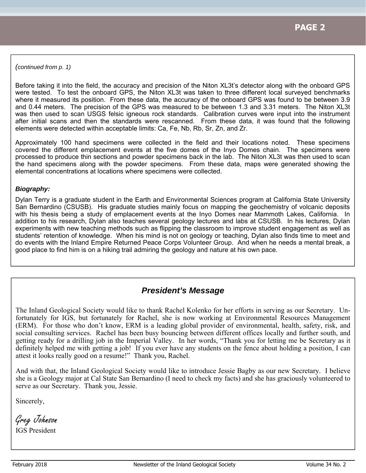*(continued from p. 1)* 

Before taking it into the field, the accuracy and precision of the Niton XL3t's detector along with the onboard GPS were tested. To test the onboard GPS, the Niton XL3t was taken to three different local surveyed benchmarks where it measured its position. From these data, the accuracy of the onboard GPS was found to be between 3.9 and 0.44 meters. The precision of the GPS was measured to be between 1.3 and 3.31 meters. The Niton XL3t was then used to scan USGS felsic igneous rock standards. Calibration curves were input into the instrument after initial scans and then the standards were rescanned. From these data, it was found that the following elements were detected within acceptable limits: Ca, Fe, Nb, Rb, Sr, Zn, and Zr.

Approximately 100 hand specimens were collected in the field and their locations noted. These specimens covered the different emplacement events at the five domes of the Inyo Domes chain. The specimens were processed to produce thin sections and powder specimens back in the lab. The Niton XL3t was then used to scan the hand specimens along with the powder specimens. From these data, maps were generated showing the elemental concentrations at locations where specimens were collected.

#### *Biography:*

Dylan Terry is a graduate student in the Earth and Environmental Sciences program at California State University San Bernardino (CSUSB). His graduate studies mainly focus on mapping the geochemistry of volcanic deposits with his thesis being a study of emplacement events at the Inyo Domes near Mammoth Lakes, California. In addition to his research, Dylan also teaches several geology lectures and labs at CSUSB. In his lectures, Dylan experiments with new teaching methods such as flipping the classroom to improve student engagement as well as students' retention of knowledge. When his mind is not on geology or teaching, Dylan also finds time to meet and do events with the Inland Empire Returned Peace Corps Volunteer Group. And when he needs a mental break, a good place to find him is on a hiking trail admiring the geology and nature at his own pace.

#### *President's Message*

The Inland Geological Society would like to thank Rachel Kolenko for her efforts in serving as our Secretary. Unfortunately for IGS, but fortunately for Rachel, she is now working at Environmental Resources Management (ERM). For those who don't know, ERM is a leading global provider of environmental, health, safety, risk, and social consulting services. Rachel has been busy bouncing between different offices locally and further south, and getting ready for a drilling job in the Imperial Valley. In her words, "Thank you for letting me be Secretary as it definitely helped me with getting a job! If you ever have any students on the fence about holding a position, I can attest it looks really good on a resume!" Thank you, Rachel.

And with that, the Inland Geological Society would like to introduce Jessie Bagby as our new Secretary. I believe she is a Geology major at Cal State San Bernardino (I need to check my facts) and she has graciously volunteered to serve as our Secretary. Thank you, Jessie.

Sincerely,

Greg Johnson

IGS President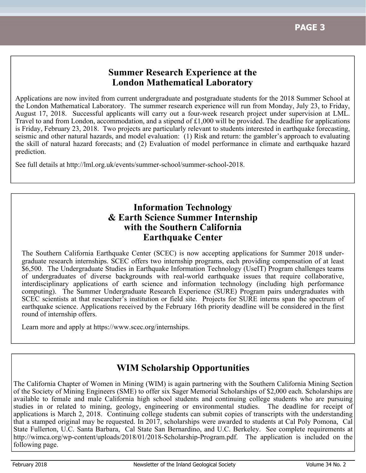#### **Summer Research Experience at the London Mathematical Laboratory**

Applications are now invited from current undergraduate and postgraduate students for the 2018 Summer School at the London Mathematical Laboratory. The summer research experience will run from Monday, July 23, to Friday, August 17, 2018. Successful applicants will carry out a four-week research project under supervision at LML. Travel to and from London, accommodation, and a stipend of £1,000 will be provided. The deadline for applications is Friday, February 23, 2018. Two projects are particularly relevant to students interested in earthquake forecasting, seismic and other natural hazards, and model evaluation: (1) Risk and return: the gambler's approach to evaluating the skill of natural hazard forecasts; and (2) Evaluation of model performance in climate and earthquake hazard prediction.

See full details at http://lml.org.uk/events/summer-school/summer-school-2018.

#### **Information Technology & Earth Science Summer Internship with the Southern California Earthquake Center**

The Southern California Earthquake Center (SCEC) is now accepting applications for Summer 2018 undergraduate research internships. SCEC offers two internship programs, each providing compensation of at least \$6,500. The Undergraduate Studies in Earthquake Information Technology (UseIT) Program challenges teams of undergraduates of diverse backgrounds with real-world earthquake issues that require collaborative, interdisciplinary applications of earth science and information technology (including high performance computing). The Summer Undergraduate Research Experience (SURE) Program pairs undergraduates with SCEC scientists at that researcher's institution or field site. Projects for SURE interns span the spectrum of earthquake science. Applications received by the February 16th priority deadline will be considered in the first round of internship offers.

Learn more and apply at https://www.scec.org/internships.

## **WIM Scholarship Opportunities**

The California Chapter of Women in Mining (WIM) is again partnering with the Southern California Mining Section of the Society of Mining Engineers (SME) to offer six Sager Memorial Scholarships of \$2,000 each. Scholarships are available to female and male California high school students and continuing college students who are pursuing studies in or related to mining, geology, engineering or environmental studies. The deadline for receipt of applications is March 2, 2018. Continuing college students can submit copies of transcripts with the understanding that a stamped original may be requested. In 2017, scholarships were awarded to students at Cal Poly Pomona, Cal State Fullerton, U.C. Santa Barbara, Cal State San Bernardino, and U.C. Berkeley. See complete requirements at http://wimca.org/wp-content/uploads/2018/01/2018-Scholarship-Program.pdf. The application is included on the following page.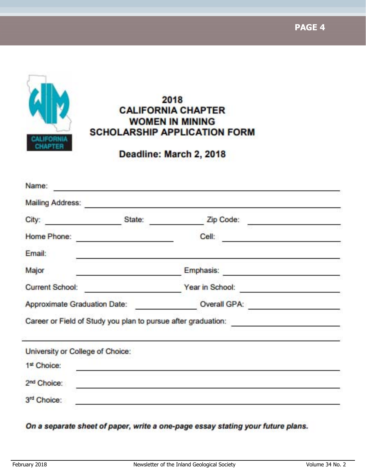**PAGE 4**



## 2018 **CALIFORNIA CHAPTER WOMEN IN MINING SCHOLARSHIP APPLICATION FORM**

Deadline: March 2, 2018

| City:                                           | State: | Zip Code:<br><u>and the company of the company of the company of the company of the company of the company of the company of the company of the company of the company of the company of the company of the company of the company of the com</u> |  |
|-------------------------------------------------|--------|---------------------------------------------------------------------------------------------------------------------------------------------------------------------------------------------------------------------------------------------------|--|
| Home Phone:                                     |        | <b>Cell:</b>                                                                                                                                                                                                                                      |  |
| Email:                                          |        |                                                                                                                                                                                                                                                   |  |
| Major                                           |        | Emphasis:                                                                                                                                                                                                                                         |  |
| <b>Current School:</b>                          |        | Year in School:                                                                                                                                                                                                                                   |  |
| Approximate Graduation Date:                    |        | Overall GPA:                                                                                                                                                                                                                                      |  |
|                                                 |        |                                                                                                                                                                                                                                                   |  |
|                                                 |        | Career or Field of Study you plan to pursue after graduation:                                                                                                                                                                                     |  |
|                                                 |        |                                                                                                                                                                                                                                                   |  |
| 1st Choice:                                     |        |                                                                                                                                                                                                                                                   |  |
| University or College of Choice:<br>2nd Choice: |        |                                                                                                                                                                                                                                                   |  |

On a separate sheet of paper, write a one-page essay stating your future plans.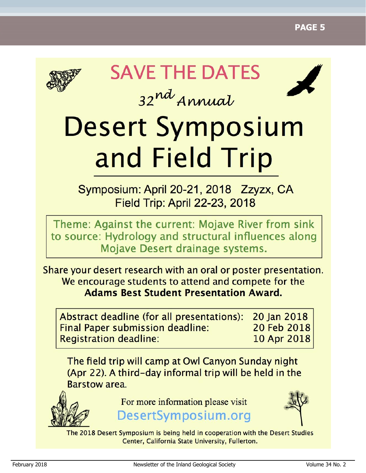

# **SAVE THE DATES**



# 32nd Annual **Desert Symposium** and Field Trip

Symposium: April 20-21, 2018 Zzyzx, CA **Field Trip: April 22-23, 2018** 

Theme: Against the current: Mojave River from sink to source: Hydrology and structural influences along Mojave Desert drainage systems.

Share your desert research with an oral or poster presentation. We encourage students to attend and compete for the **Adams Best Student Presentation Award.** 

20 Ian 2018 Abstract deadline (for all presentations): 20 Feb 2018 **Final Paper submission deadline: Registration deadline:** 10 Apr 2018

The field trip will camp at Owl Canyon Sunday night (Apr 22). A third-day informal trip will be held in the Barstow area.



For more information please visit

DesertSymposium.org



The 2018 Desert Symposium is being held in cooperation with the Desert Studies Center, California State University, Fullerton.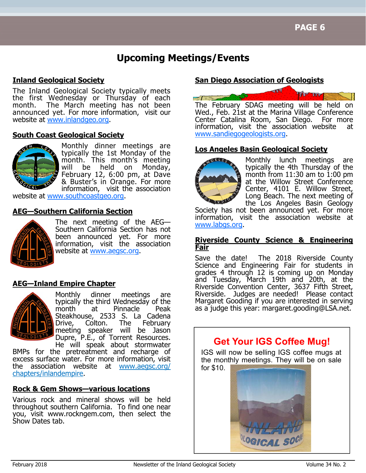## **Upcoming Meetings/Events**

#### **Inland Geological Society**

The Inland Geological Society typically meets the first Wednesday or Thursday of each month. The March meeting has not been announced yet. For more information, visit our website at www.inlandgeo.org.

#### **South Coast Geological Society**



Monthly dinner meetings are typically the 1st Monday of the month. This month's meeting will be held on Monday, February 12, 6:00 pm, at Dave & Buster's in Orange. For more information, visit the association

website at www.southcoastgeo.org.

#### **AEG—Southern California Section**



The next meeting of the AEG— Southern California Section has not been announced yet. For more information, visit the association website at www.aegsc.org.

#### **AEG—Inland Empire Chapter**



Monthly dinner meetings are typically the third Wednesday of the month at Pinnacle Peak Steakhouse, 2533 S. La Cadena Drive, Colton. The February meeting speaker will be Jason Dupre, P.E., of Torrent Resources.

He will speak about stormwater BMPs for the pretreatment and recharge of excess surface water. For more information, visit the association website at www.aegsc.org/ chapters/inlandempire.

#### **Rock & Gem Shows—various locations**

Various rock and mineral shows will be held throughout southern California. To find one near you, visit www.rockngem.com, then select the Show Dates tab.

#### **San Diego Association of Geologists**



Wed., Feb. 21st at the Marina Village Conference Center Catalina Room, San Diego. For more information, visit the association website at www.sandiegogeologists.org.

#### **Los Angeles Basin Geological Society**



Monthly lunch meetings are typically the 4th Thursday of the month from  $11:30$  am to  $1:00$  pm at the Willow Street Conference Center, 4101 E. Willow Street, Long Beach. The next meeting of the Los Angeles Basin Geology

Society has not been announced yet. For more information, visit the association website at www.labgs.org.

#### **Riverside County Science & Engineering Fair**

Save the date! The 2018 Riverside County Science and Engineering Fair for students in grades 4 through 12 is coming up on Monday and Tuesday, March 19th and 20th, at the Riverside Convention Center, 3637 Fifth Street, Riverside. Judges are needed! Please contact Margaret Gooding if you are interested in serving as a judge this year: margaret.gooding@LSA.net.